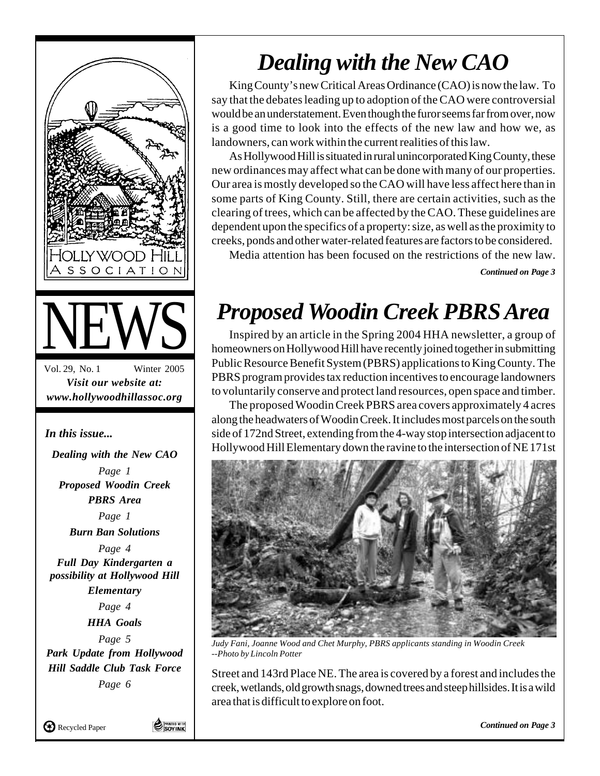

## *Dealing with the New CAO*

King County's new Critical Areas Ordinance (CAO) is now the law. To say that the debates leading up to adoption of the CAO were controversial would be an understatement. Even though the furor seems far from over, now is a good time to look into the effects of the new law and how we, as landowners, can work within the current realities of this law.

As Hollywood Hill is situated in rural unincorporated King County, these new ordinances may affect what can be done with many of our properties. Our area is mostly developed so the CAO will have less affect here than in some parts of King County. Still, there are certain activities, such as the clearing of trees, which can be affected by the CAO. These guidelines are dependent upon the specifics of a property: size, as well as the proximity to creeks, ponds and other water-related features are factors to be considered.

Media attention has been focused on the restrictions of the new law.

*Continued on Page 3*

## *Proposed Woodin Creek PBRS Area*

Inspired by an article in the Spring 2004 HHA newsletter, a group of homeowners on Hollywood Hill have recently joined together in submitting Public Resource Benefit System (PBRS) applications to King County. The PBRS program provides tax reduction incentives to encourage landowners to voluntarily conserve and protect land resources, open space and timber.

The proposed Woodin Creek PBRS area covers approximately 4 acres along the headwaters of Woodin Creek. It includes most parcels on the south side of 172nd Street, extending from the 4-way stop intersection adjacent to Hollywood Hill Elementary down the ravine to the intersection of NE 171st



*Judy Fani, Joanne Wood and Chet Murphy, PBRS applicants standing in Woodin Creek --Photo by Lincoln Potter*

Street and 143rd Place NE. The area is covered by a forest and includes the creek, wetlands, old growth snags, downed trees and steep hillsides. It is a wild area that is difficult to explore on foot.

*Continued on Page 3*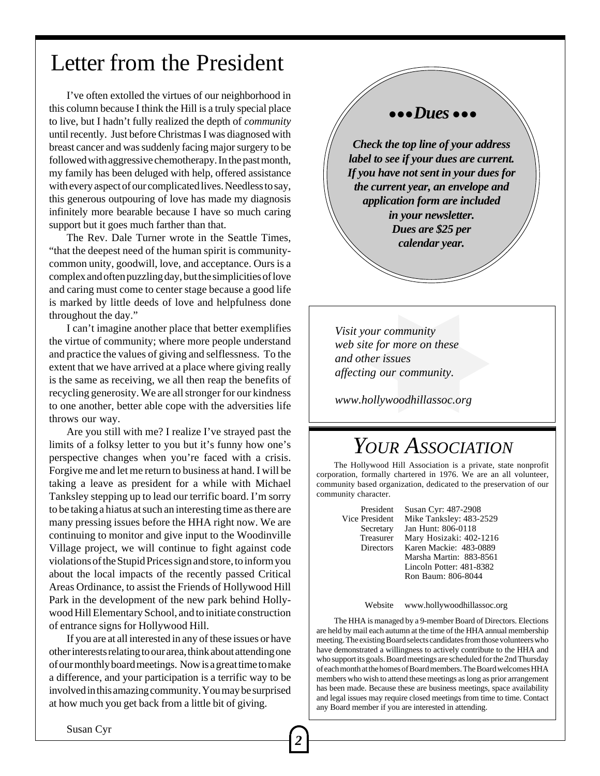### Letter from the President

I've often extolled the virtues of our neighborhood in this column because I think the Hill is a truly special place to live, but I hadn't fully realized the depth of *community* until recently. Just before Christmas I was diagnosed with breast cancer and was suddenly facing major surgery to be followed with aggressive chemotherapy. In the past month, my family has been deluged with help, offered assistance with every aspect of our complicated lives. Needless to say, this generous outpouring of love has made my diagnosis infinitely more bearable because I have so much caring support but it goes much farther than that.

The Rev. Dale Turner wrote in the Seattle Times, "that the deepest need of the human spirit is communitycommon unity, goodwill, love, and acceptance. Ours is a complex and often puzzling day, but the simplicities of love and caring must come to center stage because a good life is marked by little deeds of love and helpfulness done throughout the day."

I can't imagine another place that better exemplifies the virtue of community; where more people understand and practice the values of giving and selflessness. To the extent that we have arrived at a place where giving really is the same as receiving, we all then reap the benefits of recycling generosity. We are all stronger for our kindness to one another, better able cope with the adversities life throws our way.

Are you still with me? I realize I've strayed past the limits of a folksy letter to you but it's funny how one's perspective changes when you're faced with a crisis. Forgive me and let me return to business at hand. I will be taking a leave as president for a while with Michael Tanksley stepping up to lead our terrific board. I'm sorry to be taking a hiatus at such an interesting time as there are many pressing issues before the HHA right now. We are continuing to monitor and give input to the Woodinville Village project, we will continue to fight against code violations of the Stupid Prices sign and store, to inform you about the local impacts of the recently passed Critical Areas Ordinance, to assist the Friends of Hollywood Hill Park in the development of the new park behind Hollywood Hill Elementary School, and to initiate construction of entrance signs for Hollywood Hill.

If you are at all interested in any of these issues or have other interests relating to our area, think about attending one of our monthly board meetings. Now is a great time to make a difference, and your participation is a terrific way to be involved in this amazing community. You may be surprised at how much you get back from a little bit of giving.

#### ● ● ● *Dues* ● ● ●

*Check the top line of your address label to see if your dues are current. If you have not sent in your dues for the current year, an envelope and application form are included in your newsletter. Dues are \$25 per calendar year.*

*Visit your community web site for more on these and other issues affecting our community.*

*www.hollywoodhillassoc.org*

### *YOUR ASSOCIATION*

The Hollywood Hill Association is a private, state nonprofit corporation, formally chartered in 1976. We are an all volunteer, community based organization, dedicated to the preservation of our community character.

President Susan Cyr: 487-2908<br>Vice President Mike Tanksley: 483-2 Mike Tanksley: 483-2529 Secretary Jan Hunt: 806-0118 Treasurer Mary Hosizaki: 402-1216 Directors Karen Mackie: 483-0889 Marsha Martin: 883-8561 Lincoln Potter: 481-8382 Ron Baum: 806-8044

Website www.hollywoodhillassoc.org

The HHA is managed by a 9-member Board of Directors. Elections are held by mail each autumn at the time of the HHA annual membership meeting. The existing Board selects candidates from those volunteers who have demonstrated a willingness to actively contribute to the HHA and who support its goals. Board meetings are scheduled for the 2nd Thursday of each month at the homes of Board members. The Board welcomes HHA members who wish to attend these meetings as long as prior arrangement has been made. Because these are business meetings, space availability and legal issues may require closed meetings from time to time. Contact any Board member if you are interested in attending.

Susan Cyr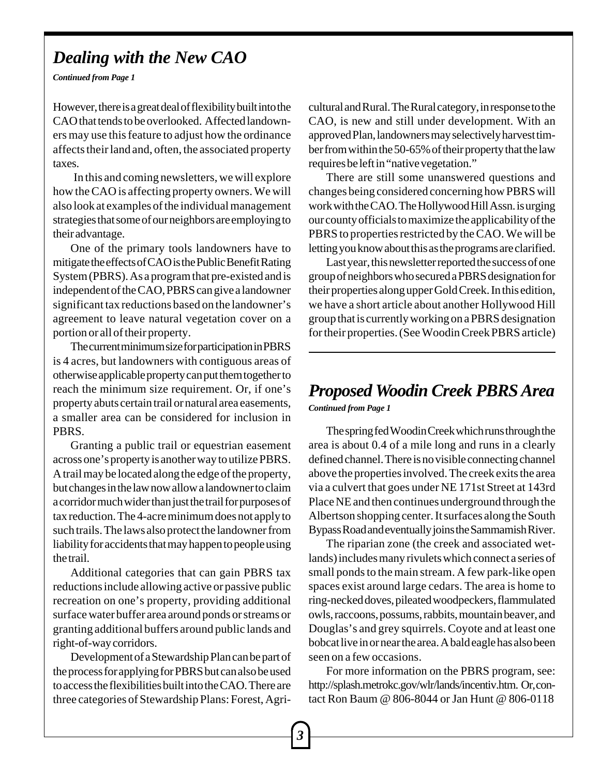#### *Dealing with the New CAO*

*Continued from Page 1*

However, there is a great deal of flexibility built into the CAO that tends to be overlooked. Affected landowners may use this feature to adjust how the ordinance affects their land and, often, the associated property taxes.

 In this and coming newsletters, we will explore how the CAO is affecting property owners. We will also look at examples of the individual management strategies that some of our neighbors are employing to their advantage.

One of the primary tools landowners have to mitigate the effects of CAO is the Public Benefit Rating System (PBRS). As a program that pre-existed and is independent of the CAO, PBRS can give a landowner significant tax reductions based on the landowner's agreement to leave natural vegetation cover on a portion or all of their property.

The current minimum size for participation in PBRS is 4 acres, but landowners with contiguous areas of otherwise applicable property can put them together to reach the minimum size requirement. Or, if one's property abuts certain trail or natural area easements, a smaller area can be considered for inclusion in PBRS.

Granting a public trail or equestrian easement across one's property is another way to utilize PBRS. A trail may be located along the edge of the property, but changes in the law now allow a landowner to claim a corridor much wider than just the trail for purposes of tax reduction. The 4-acre minimum does not apply to such trails. The laws also protect the landowner from liability for accidents that may happen to people using the trail.

Additional categories that can gain PBRS tax reductions include allowing active or passive public recreation on one's property, providing additional surface water buffer area around ponds or streams or granting additional buffers around public lands and right-of-way corridors.

Development of a Stewardship Plan can be part of the process for applying for PBRS but can also be used to access the flexibilities built into the CAO. There are three categories of Stewardship Plans: Forest, Agricultural and Rural. The Rural category, in response to the CAO, is new and still under development. With an approved Plan, landowners may selectively harvest timber from within the 50-65% of their property that the law requires be left in "native vegetation."

There are still some unanswered questions and changes being considered concerning how PBRS will work with the CAO. The Hollywood Hill Assn. is urging our county officials to maximize the applicability of the PBRS to properties restricted by the CAO. We will be letting you know about this as the programs are clarified.

Last year, this newsletter reported the success of one group of neighbors who secured a PBRS designation for their properties along upper Gold Creek. In this edition, we have a short article about another Hollywood Hill group that is currently working on a PBRS designation for their properties. (See Woodin Creek PBRS article)

#### *Continued from Page 1 Proposed Woodin Creek PBRS Area*

The spring fed Woodin Creek which runs through the area is about 0.4 of a mile long and runs in a clearly defined channel. There is no visible connecting channel above the properties involved. The creek exits the area via a culvert that goes under NE 171st Street at 143rd Place NE and then continues underground through the Albertson shopping center. It surfaces along the South Bypass Road and eventually joins the Sammamish River.

The riparian zone (the creek and associated wetlands) includes many rivulets which connect a series of small ponds to the main stream. A few park-like open spaces exist around large cedars. The area is home to ring-necked doves, pileated woodpeckers, flammulated owls, raccoons, possums, rabbits, mountain beaver, and Douglas's and grey squirrels. Coyote and at least one bobcat live in or near the area. A bald eagle has also been seen on a few occasions.

For more information on the PBRS program, see: http://splash.metrokc.gov/wlr/lands/incentiv.htm. Or, contact Ron Baum @ 806-8044 or Jan Hunt @ 806-0118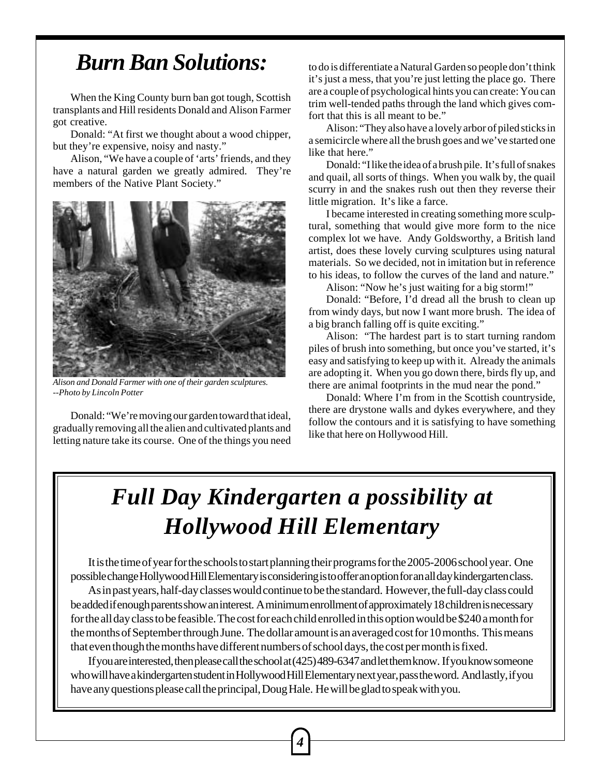### *Burn Ban Solutions:*

When the King County burn ban got tough, Scottish transplants and Hill residents Donald and Alison Farmer got creative.

Donald: "At first we thought about a wood chipper, but they're expensive, noisy and nasty."

Alison, "We have a couple of 'arts' friends, and they have a natural garden we greatly admired. They're members of the Native Plant Society."



*Alison and Donald Farmer with one of their garden sculptures. --Photo by Lincoln Potter*

Donald: "We're moving our garden toward that ideal, gradually removing all the alien and cultivated plants and letting nature take its course. One of the things you need to do is differentiate a Natural Garden so people don't think it's just a mess, that you're just letting the place go. There are a couple of psychological hints you can create: You can trim well-tended paths through the land which gives comfort that this is all meant to be."

Alison: "They also have a lovely arbor of piled sticks in a semicircle where all the brush goes and we've started one like that here."

Donald: "I like the idea of a brush pile. It's full of snakes and quail, all sorts of things. When you walk by, the quail scurry in and the snakes rush out then they reverse their little migration. It's like a farce.

I became interested in creating something more sculptural, something that would give more form to the nice complex lot we have. Andy Goldsworthy, a British land artist, does these lovely curving sculptures using natural materials. So we decided, not in imitation but in reference to his ideas, to follow the curves of the land and nature."

Alison: "Now he's just waiting for a big storm!"

Donald: "Before, I'd dread all the brush to clean up from windy days, but now I want more brush. The idea of a big branch falling off is quite exciting."

Alison: "The hardest part is to start turning random piles of brush into something, but once you've started, it's easy and satisfying to keep up with it. Already the animals are adopting it. When you go down there, birds fly up, and there are animal footprints in the mud near the pond."

Donald: Where I'm from in the Scottish countryside, there are drystone walls and dykes everywhere, and they follow the contours and it is satisfying to have something like that here on Hollywood Hill.

## *Full Day Kindergarten a possibility at Hollywood Hill Elementary*

It is the time of year for the schools to start planning their programs for the 2005-2006 school year. One possible change Hollywood Hill Elementary is considering is to offer an option for an all day kindergarten class.

As in past years, half-day classes would continue to be the standard. However, the full-day class could be added if enough parents show an interest. A minimum enrollment of approximately 18 children is necessary for the all day class to be feasible. The cost for each child enrolled in this option would be \$240 a month for the months of September through June. The dollar amount is an averaged cost for 10 months. This means that even though the months have different numbers of school days, the cost per month is fixed.

If you are interested, then please call the school at (425) 489-6347 and let them know. If you know someone who will have a kindergarten student in Hollywood Hill Elementary next year, pass the word. And lastly, if you have any questions please call the principal, Doug Hale. He will be glad to speak with you.

*4*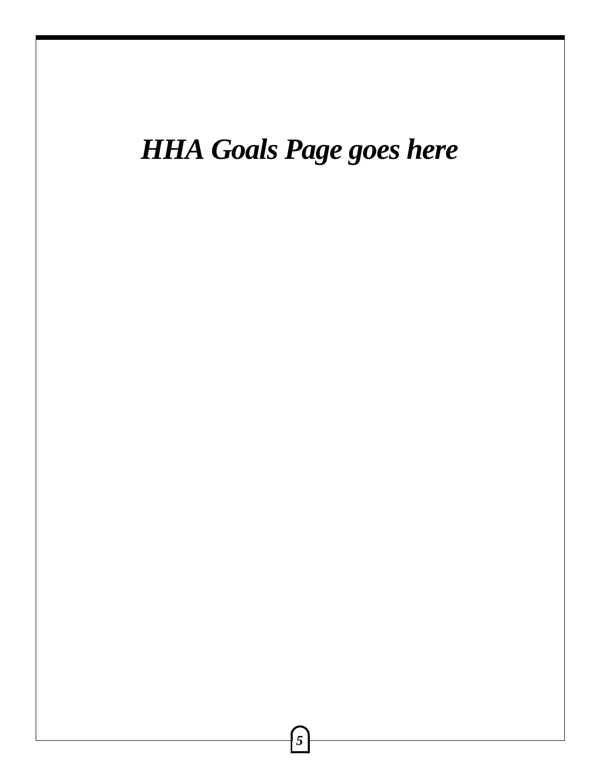# *HHA Goals Page goes here*